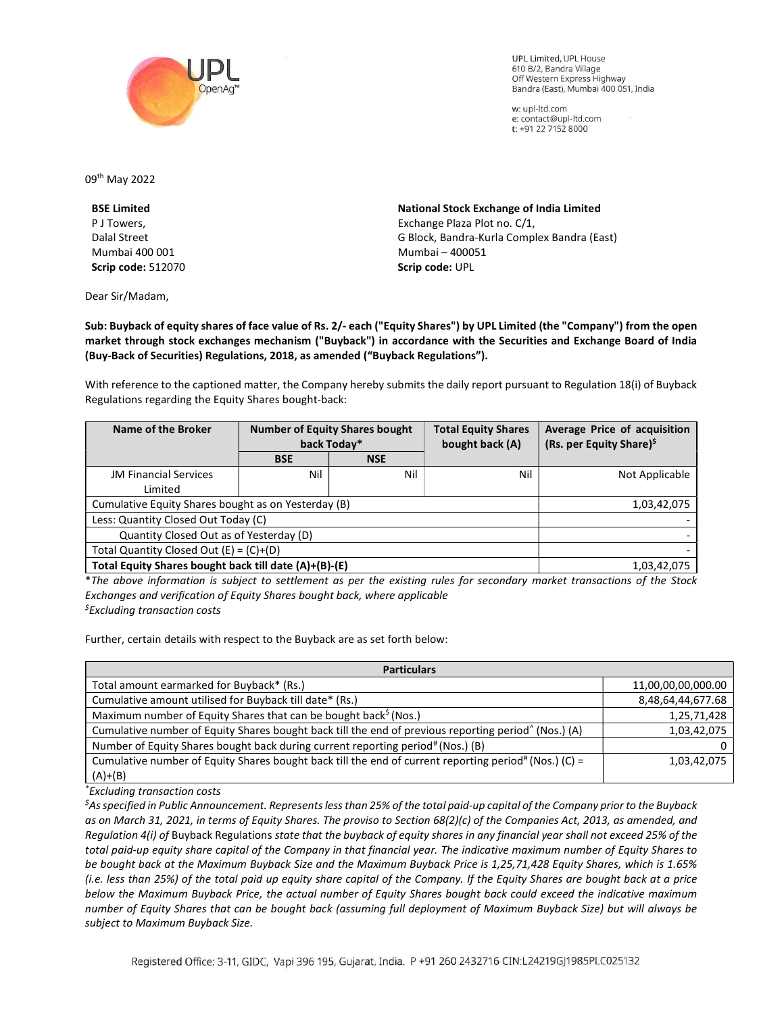

**UPL Limited. UPL House** 610 B/2, Bandra Village Off Western Express Highway Bandra (East), Mumbai 400 051, India

w: upl-ltd.com e: contact@upl-ltd.com t: +91 22 7152 8000

09th May 2022

BSE Limited P J Towers, Dalal Street Mumbai 400 001 Scrip code: 512070

Dear Sir/Madam,

National Stock Exchange of India Limited Exchange Plaza Plot no. C/1, G Block, Bandra-Kurla Complex Bandra (East) Mumbai – 400051 Scrip code: UPL

Sub: Buyback of equity shares of face value of Rs. 2/- each ("Equity Shares") by UPL Limited (the "Company") from the open market through stock exchanges mechanism ("Buyback") in accordance with the Securities and Exchange Board of India (Buy-Back of Securities) Regulations, 2018, as amended ("Buyback Regulations").

With reference to the captioned matter, the Company hereby submits the daily report pursuant to Regulation 18(i) of Buyback Regulations regarding the Equity Shares bought-back:

| Name of the Broker                                    | <b>Number of Equity Shares bought</b><br>back Today* |            | <b>Total Equity Shares</b><br>bought back (A) | Average Price of acquisition<br>(Rs. per Equity Share) <sup>\$</sup> |
|-------------------------------------------------------|------------------------------------------------------|------------|-----------------------------------------------|----------------------------------------------------------------------|
|                                                       | <b>BSE</b>                                           | <b>NSE</b> |                                               |                                                                      |
| <b>JM Financial Services</b>                          | Nil                                                  | Nil        | Nil                                           | Not Applicable                                                       |
| Limited                                               |                                                      |            |                                               |                                                                      |
| Cumulative Equity Shares bought as on Yesterday (B)   |                                                      |            |                                               | 1,03,42,075                                                          |
| Less: Quantity Closed Out Today (C)                   |                                                      |            |                                               |                                                                      |
| Quantity Closed Out as of Yesterday (D)               |                                                      |            |                                               |                                                                      |
| Total Quantity Closed Out $(E) = (C)+(D)$             |                                                      |            |                                               |                                                                      |
| Total Equity Shares bought back till date (A)+(B)-(E) |                                                      |            |                                               | 1,03,42,075                                                          |

\*The above information is subject to settlement as per the existing rules for secondary market transactions of the Stock Exchanges and verification of Equity Shares bought back, where applicable  $<sup>5</sup>$ Excluding transaction costs</sup>

Further, certain details with respect to the Buyback are as set forth below:

| <b>Particulars</b>                                                                                               |                    |  |  |  |
|------------------------------------------------------------------------------------------------------------------|--------------------|--|--|--|
| Total amount earmarked for Buyback* (Rs.)                                                                        | 11,00,00,00,000.00 |  |  |  |
| Cumulative amount utilised for Buyback till date* (Rs.)                                                          | 8,48,64,44,677.68  |  |  |  |
| Maximum number of Equity Shares that can be bought back <sup>\$</sup> (Nos.)                                     | 1,25,71,428        |  |  |  |
| Cumulative number of Equity Shares bought back till the end of previous reporting period <sup>^</sup> (Nos.) (A) | 1,03,42,075        |  |  |  |
| Number of Equity Shares bought back during current reporting period# (Nos.) (B)                                  | 0                  |  |  |  |
| Cumulative number of Equity Shares bought back till the end of current reporting period# (Nos.) (C) =            | 1,03,42,075        |  |  |  |
| $(A)+(B)$                                                                                                        |                    |  |  |  |

\*Excluding transaction costs

 ${}^5$ As specified in Public Announcement. Represents less than 25% of the total paid-up capital of the Company prior to the Buyback as on March 31, 2021, in terms of Equity Shares. The proviso to Section 68(2)(c) of the Companies Act, 2013, as amended, and Regulation 4(i) of Buyback Regulations state that the buyback of equity shares in any financial year shall not exceed 25% of the total paid-up equity share capital of the Company in that financial year. The indicative maximum number of Equity Shares to be bought back at the Maximum Buyback Size and the Maximum Buyback Price is 1,25,71,428 Equity Shares, which is 1.65% (i.e. less than 25%) of the total paid up equity share capital of the Company. If the Equity Shares are bought back at a price below the Maximum Buyback Price, the actual number of Equity Shares bought back could exceed the indicative maximum number of Equity Shares that can be bought back (assuming full deployment of Maximum Buyback Size) but will always be subject to Maximum Buyback Size.